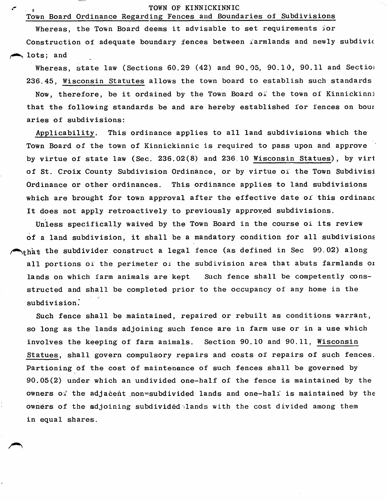## TOWN OF KINNICKINNIC

## Town Board Ordinance Regarding Fences and Boundaries of Subdivisions

م

Whereas, the Town Board deems it advisable to set requirements ior Construction of adequate boundary fences between farmlands and newly subdivic lots; and

Whereas, state law (Sections 60.29 (42) and 90.05, 90.10, 90.11 and Section 236,45, Wisconsin Statutes allows the town board to establish such standards Now, therefore, be it ordained by the Town Board of the town of Kinnickinni that the following standards be and are hereby established for fences on bour aries of subdivisions:

Applicability. This ordinance applies to all land subdivisions which the Town Board of the town of Kinnickinnic is required to pass upon and approve by virtue of state law (Sec. 236.02(8) and 236 10 Wisconsin Statues), by virl of St. Croix County Subdivision Ordinance, or by virtue of the Town Subdivisi Ordinance or other ordinances. This ordinance applies to land subdivisions which are brought for town approval after the effective date of this ordinanc It does not apply retroactively to previously approved subdivisions.

Unless specifically waived by the Town Board in the course of its review of a land subdivision, it shall be a mandatory condition for all subdivisions  $\bigwedge_{\text{th\`at}}$  the subdivider construct a legal fence (as defined in Sec 90.02) along all portions of the perimeter of the subdivision area that abuts farmlands oi lands on which farm animals are kept Such fence shall be competently consstructed and shall be completed prior to the occupancy of any home in the subdivision.'

Such fence shall be maintained, repaired or rebuilt as conditions warrant, so long as the lands adjoining such fence are in farm use or in a use which involves the keeping of farm animals. Section 90.10 and 90,11, Wisconsin Statues, shall govern compulsory repairs and costs of repairs of such fences. Partioning of the cost of maintenance of such fences shall be governed by 90.05(2) under which an undivided one-half of the fence is maintained by the owners of the adjacent non=subdivided lands and one-half is maintained by the owners of the adjoining subdivided lands with the cost divided among them in equal shares.